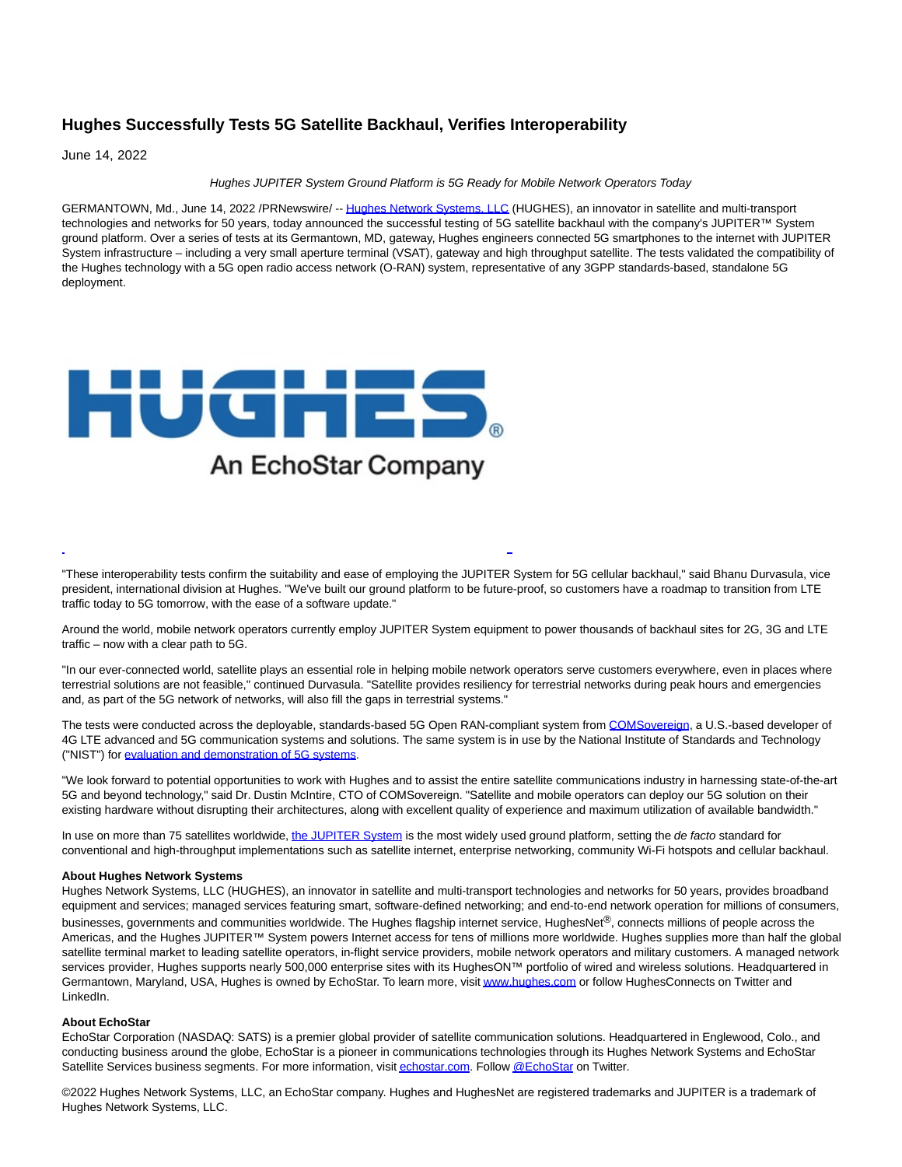# **Hughes Successfully Tests 5G Satellite Backhaul, Verifies Interoperability**

June 14, 2022

### Hughes JUPITER System Ground Platform is 5G Ready for Mobile Network Operators Today

GERMANTOWN, Md., June 14, 2022 /PRNewswire/ -[- Hughes Network Systems, LLC \(](https://c212.net/c/link/?t=0&l=en&o=3566009-1&h=3384597052&u=https%3A%2F%2Fwww.hughes.com%2F&a=Hughes+Network+Systems%2C+LLC)HUGHES), an innovator in satellite and multi-transport technologies and networks for 50 years, today announced the successful testing of 5G satellite backhaul with the company's JUPITER™ System ground platform. Over a series of tests at its Germantown, MD, gateway, Hughes engineers connected 5G smartphones to the internet with JUPITER System infrastructure – including a very small aperture terminal (VSAT), gateway and high throughput satellite. The tests validated the compatibility of the Hughes technology with a 5G open radio access network (O-RAN) system, representative of any 3GPP standards-based, standalone 5G deployment.



"These interoperability tests confirm the suitability and ease of employing the JUPITER System for 5G cellular backhaul," said Bhanu Durvasula, vice president, international division at Hughes. "We've built our ground platform to be future-proof, so customers have a roadmap to transition from LTE traffic today to 5G tomorrow, with the ease of a software update."

L

Around the world, mobile network operators currently employ JUPITER System equipment to power thousands of backhaul sites for 2G, 3G and LTE traffic – now with a clear path to 5G.

"In our ever-connected world, satellite plays an essential role in helping mobile network operators serve customers everywhere, even in places where terrestrial solutions are not feasible," continued Durvasula. "Satellite provides resiliency for terrestrial networks during peak hours and emergencies and, as part of the 5G network of networks, will also fill the gaps in terrestrial systems."

The tests were conducted across the deployable, standards-based 5G Open RAN-compliant system from [COMSovereign,](https://c212.net/c/link/?t=0&l=en&o=3566009-1&h=2096334689&u=https%3A%2F%2Fwww.comsovereign.com%2F&a=COMSovereign) a U.S.-based developer of 4G LTE advanced and 5G communication systems and solutions. The same system is in use by the National Institute of Standards and Technology ("NIST") for [evaluation and demonstration of 5G systems.](https://c212.net/c/link/?t=0&l=en&o=3566009-1&h=4292463978&u=https%3A%2F%2Finvestors.comsovereign.com%2FCOMSovereign-Delivers-5G-O-RAN-System-to-the-National-Institute-of-Standards-and-Technology--NIST--Under-5G-Cooperative-Research-and-Development-Agreement-10-25-2021%23ScrollToContent&a=evaluation+and+demonstration+of+5G+systems) 

"We look forward to potential opportunities to work with Hughes and to assist the entire satellite communications industry in harnessing state-of-the-art 5G and beyond technology," said Dr. Dustin McIntire, CTO of COMSovereign. "Satellite and mobile operators can deploy our 5G solution on their existing hardware without disrupting their architectures, along with excellent quality of experience and maximum utilization of available bandwidth."

In use on more than 75 satellites worldwide[, the JUPITER System i](https://c212.net/c/link/?t=0&l=en&o=3566009-1&h=1339863525&u=https%3A%2F%2Fwww.hughes.com%2Fwhat-we-offer%2Fsatellite-ground-systems%2Fjupiter-system&a=the+JUPITER+System)s the most widely used ground platform, setting the de facto standard for conventional and high-throughput implementations such as satellite internet, enterprise networking, community Wi-Fi hotspots and cellular backhaul.

#### **About Hughes Network Systems**

Hughes Network Systems, LLC (HUGHES), an innovator in satellite and multi-transport technologies and networks for 50 years, provides broadband equipment and services; managed services featuring smart, software-defined networking; and end-to-end network operation for millions of consumers, businesses, governments and communities worldwide. The Hughes flagship internet service, HughesNet®, connects millions of people across the Americas, and the Hughes JUPITER™ System powers Internet access for tens of millions more worldwide. Hughes supplies more than half the global satellite terminal market to leading satellite operators, in-flight service providers, mobile network operators and military customers. A managed network services provider, Hughes supports nearly 500,000 enterprise sites with its HughesON™ portfolio of wired and wireless solutions. Headquartered in Germantown, Maryland, USA, Hughes is owned by EchoStar. To learn more, visi[t www.hughes.com o](https://c212.net/c/link/?t=0&l=en&o=3566009-1&h=334716788&u=https%3A%2F%2Fwww.hughes.com%2F&a=www.hughes.com)r follow HughesConnects on Twitter and LinkedIn.

#### **About EchoStar**

EchoStar Corporation (NASDAQ: SATS) is a premier global provider of satellite communication solutions. Headquartered in Englewood, Colo., and conducting business around the globe, EchoStar is a pioneer in communications technologies through its Hughes Network Systems and EchoStar Satellite Services business segments. For more information, visi[t echostar.com.](https://c212.net/c/link/?t=0&l=en&o=3566009-1&h=1213650752&u=http%3A%2F%2Fwww.echostar.com%2F&a=echostar.com) Follo[w @EchoStar o](https://c212.net/c/link/?t=0&l=en&o=3566009-1&h=667295151&u=https%3A%2F%2Ftwitter.com%2Fechostar&a=%40EchoStar)n Twitter.

©2022 Hughes Network Systems, LLC, an EchoStar company. Hughes and HughesNet are registered trademarks and JUPITER is a trademark of Hughes Network Systems, LLC.